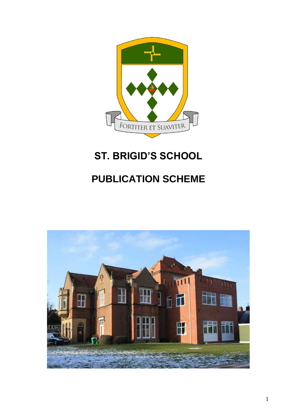

# **ST. BRIGID'S SCHOOL**

# **PUBLICATION SCHEME**

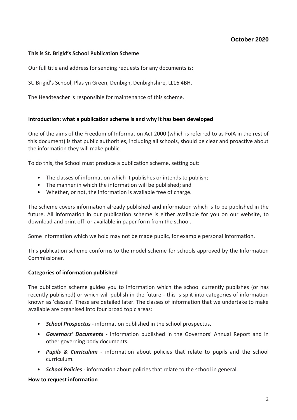## **This is St. Brigid's School Publication Scheme**

Our full title and address for sending requests for any documents is:

St. Brigid's School, Plas yn Green, Denbigh, Denbighshire, LL16 4BH.

The Headteacher is responsible for maintenance of this scheme.

### **Introduction: what a publication scheme is and why it has been developed**

One of the aims of the Freedom of Information Act 2000 (which is referred to as FoIA in the rest of this document) is that public authorities, including all schools, should be clear and proactive about the information they will make public.

To do this, the School must produce a publication scheme, setting out:

- The classes of information which it publishes or intends to publish;
- The manner in which the information will be published; and
- Whether, or not, the information is available free of charge*.*

The scheme covers information already published and information which is to be published in the future. All information in our publication scheme is either available for you on our website, to download and print off, or available in paper form from the school.

Some information which we hold may not be made public, for example personal information.

This publication scheme conforms to the model scheme for schools approved by the Information Commissioner.

#### **Categories of information published**

The publication scheme guides you to information which the school currently publishes (or has recently published) or which will publish in the future - this is split into categories of information known as 'classes'. These are detailed later. The classes of information that we undertake to make available are organised into four broad topic areas:

- *School Prospectus* information published in the school prospectus.
- *Governors' Documents* information published in the Governors' Annual Report and in other governing body documents.
- *Pupils & Curriculum* information about policies that relate to pupils and the school curriculum.
- *School Policies* information about policies that relate to the school in general.

#### **How to request information**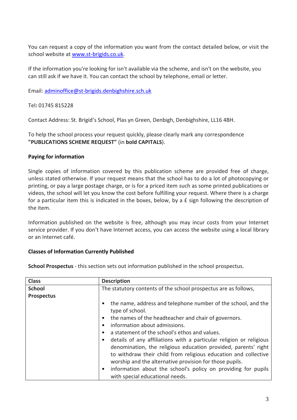You can request a copy of the information you want from the contact detailed below, or visit the school website at [www.st-brigids.co.uk.](http://www.st-brigids.co.uk/)

If the information you're looking for isn't available via the scheme, and isn't on the website, you can still ask if we have it. You can contact the school by telephone, email or letter.

Email: [adminoffice@st-brigids.denbighshire.sch.uk](mailto:adminoffice@st-brigids.denbighshire.sch.uk)

Tel**:** 01745 815228

Contact Address: St. Brigid's School, Plas yn Green, Denbigh, Denbighshire, LL16 4BH.

To help the school process your request quickly, please clearly mark any correspondence **"PUBLICATIONS SCHEME REQUEST"** (in **bold CAPITALS**).

### **Paying for information**

Single copies of information covered by this publication scheme are provided free of charge, unless stated otherwise. If your request means that the school has to do a lot of photocopying or printing, or pay a large postage charge, or is for a priced item such as some printed publications or videos, the school will let you know the cost before fulfilling your request. Where there is a charge for a particular item this is indicated in the boxes, below, by a £ sign following the description of the item.

Information published on the website is free, although you may incur costs from your Internet service provider. If you don't have Internet access, you can access the website using a local library or an Internet café.

# **Classes of Information Currently Published**

**School Prospectus** - this section sets out information published in the school prospectus.

| <b>Class</b>      | <b>Description</b>                                                                                                         |
|-------------------|----------------------------------------------------------------------------------------------------------------------------|
| <b>School</b>     | The statutory contents of the school prospectus are as follows,                                                            |
| <b>Prospectus</b> |                                                                                                                            |
|                   | the name, address and telephone number of the school, and the<br>٠<br>type of school.                                      |
|                   | the names of the headteacher and chair of governors.<br>$\bullet$                                                          |
|                   | information about admissions.<br>$\bullet$                                                                                 |
|                   | a statement of the school's ethos and values.<br>$\bullet$                                                                 |
|                   | details of any affiliations with a particular religion or religious<br>$\bullet$                                           |
|                   | denomination, the religious education provided, parents' right                                                             |
|                   | to withdraw their child from religious education and collective<br>worship and the alternative provision for those pupils. |
|                   | information about the school's policy on providing for pupils<br>$\bullet$<br>with special educational needs.              |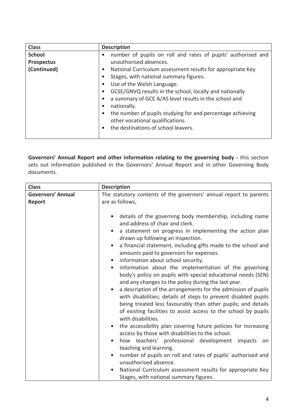| <b>Class</b>                                      | <b>Description</b>                                                                                                                                                                                                                                                                                                                                                                                                                                                                                                                                                                    |
|---------------------------------------------------|---------------------------------------------------------------------------------------------------------------------------------------------------------------------------------------------------------------------------------------------------------------------------------------------------------------------------------------------------------------------------------------------------------------------------------------------------------------------------------------------------------------------------------------------------------------------------------------|
| <b>School</b><br><b>Prospectus</b><br>(Continued) | number of pupils on roll and rates of pupils' authorised and<br>٠<br>unauthorised absences.<br>National Curriculum assessment results for appropriate Key<br>٠<br>Stages, with national summary figures.<br>$\bullet$<br>Use of the Welsh Language.<br>٠<br>GCSE/GNVQ results in the school, locally and nationally<br>$\bullet$<br>a summary of GCE A/AS level results in the school and<br>٠<br>nationally.<br>$\bullet$<br>the number of pupils studying for and percentage achieving<br>٠<br>other vocational qualifications.<br>the destinations of school leavers.<br>$\bullet$ |

**Governors' Annual Report and other information relating to the governing body -** this section sets out information published in the Governors' Annual Report and in other Governing Body documents.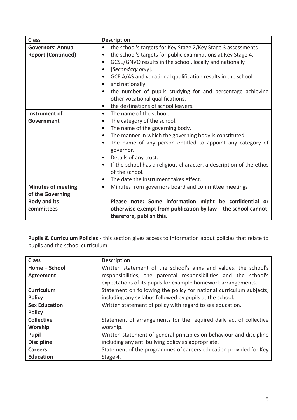| <b>Class</b>              | <b>Description</b>                                                               |
|---------------------------|----------------------------------------------------------------------------------|
| <b>Governors' Annual</b>  | the school's targets for Key Stage 2/Key Stage 3 assessments<br>$\bullet$        |
| <b>Report (Continued)</b> | the school's targets for public examinations at Key Stage 4.<br>$\bullet$        |
|                           | GCSE/GNVQ results in the school, locally and nationally<br>$\bullet$             |
|                           | [Secondary only].<br>$\bullet$                                                   |
|                           | GCE A/AS and vocational qualification results in the school<br>٠                 |
|                           | and nationally.<br>$\bullet$                                                     |
|                           | the number of pupils studying for and percentage achieving<br>$\bullet$          |
|                           | other vocational qualifications.                                                 |
|                           | the destinations of school leavers.<br>$\bullet$                                 |
| Instrument of             | The name of the school.<br>$\bullet$                                             |
| Government                | The category of the school.<br>٠                                                 |
|                           | The name of the governing body.<br>$\bullet$                                     |
|                           | The manner in which the governing body is constituted.<br>٠                      |
|                           | The name of any person entitled to appoint any category of<br>$\bullet$          |
|                           | governor.                                                                        |
|                           | Details of any trust.<br>٠                                                       |
|                           | If the school has a religious character, a description of the ethos<br>$\bullet$ |
|                           | of the school.                                                                   |
|                           | The date the instrument takes effect.<br>$\bullet$                               |
| <b>Minutes of meeting</b> | Minutes from governors board and committee meetings<br>٠                         |
| of the Governing          |                                                                                  |
| <b>Body and its</b>       | Please note: Some information might be confidential or                           |
| committees                | otherwise exempt from publication by law - the school cannot,                    |
|                           | therefore, publish this.                                                         |

**Pupils & Curriculum Policies** - this section gives access to information about policies that relate to pupils and the school curriculum.

| <b>Class</b>         | <b>Description</b>                                                  |
|----------------------|---------------------------------------------------------------------|
| Home – School        | Written statement of the school's aims and values, the school's     |
| Agreement            | responsibilities, the parental responsibilities and the school's    |
|                      | expectations of its pupils for example homework arrangements.       |
| <b>Curriculum</b>    | Statement on following the policy for national curriculum subjects, |
| <b>Policy</b>        | including any syllabus followed by pupils at the school.            |
| <b>Sex Education</b> | Written statement of policy with regard to sex education.           |
| <b>Policy</b>        |                                                                     |
| <b>Collective</b>    | Statement of arrangements for the required daily act of collective  |
| Worship              | worship.                                                            |
| <b>Pupil</b>         | Written statement of general principles on behaviour and discipline |
| <b>Discipline</b>    | including any anti bullying policy as appropriate.                  |
| <b>Careers</b>       | Statement of the programmes of careers education provided for Key   |
| <b>Education</b>     | Stage 4.                                                            |